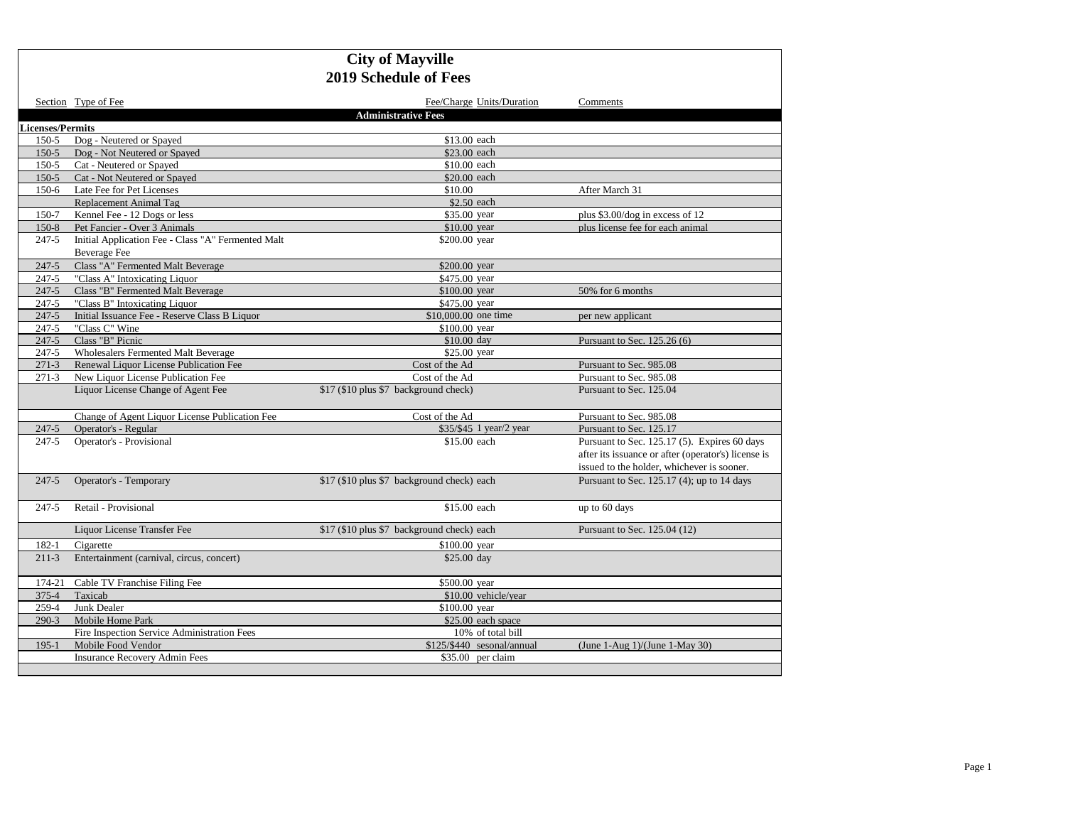|                         | Section Type of Fee                                | Fee/Charge Units/Duration                  | Comments                                            |
|-------------------------|----------------------------------------------------|--------------------------------------------|-----------------------------------------------------|
|                         |                                                    | <b>Administrative Fees</b>                 |                                                     |
| <b>Licenses/Permits</b> |                                                    |                                            |                                                     |
| $150 - 5$               | Dog - Neutered or Spayed                           | \$13.00 each                               |                                                     |
| $150 - 5$               | Dog - Not Neutered or Spayed                       | \$23.00 each                               |                                                     |
| $150 - 5$               | Cat - Neutered or Spayed                           | \$10.00 each                               |                                                     |
| $150-5$                 | Cat - Not Neutered or Spayed                       | \$20.00 each                               |                                                     |
| $150-6$                 | Late Fee for Pet Licenses                          | \$10.00                                    | After March 31                                      |
|                         | Replacement Animal Tag                             | \$2.50 each                                |                                                     |
| 150-7                   | Kennel Fee - 12 Dogs or less                       | \$35.00 year                               | plus $$3.00/\text{dog}$ in excess of 12             |
| $150-8$                 | Pet Fancier - Over 3 Animals                       | \$10.00 year                               | plus license fee for each animal                    |
| 247-5                   | Initial Application Fee - Class "A" Fermented Malt | \$200.00 year                              |                                                     |
|                         | <b>Beverage Fee</b>                                |                                            |                                                     |
| $247 - 5$               | Class "A" Fermented Malt Beverage                  | \$200.00 year                              |                                                     |
| 247-5                   | "Class A" Intoxicating Liquor                      | \$475.00 year                              |                                                     |
| $247 - 5$               | Class "B" Fermented Malt Beverage                  | \$100.00 year                              | 50% for 6 months                                    |
| 247-5                   | "Class B" Intoxicating Liquor                      | \$475.00 year                              |                                                     |
| $247 - 5$               | Initial Issuance Fee - Reserve Class B Liquor      | \$10,000.00 one time                       | per new applicant                                   |
| 247-5                   | "Class C" Wine                                     | \$100.00 year                              |                                                     |
| $247 - 5$               | Class "B" Picnic                                   | \$10.00 day                                | Pursuant to Sec. 125.26 (6)                         |
| 247-5                   | <b>Wholesalers Fermented Malt Beverage</b>         | \$25.00 year                               |                                                     |
| $271-3$                 | Renewal Liquor License Publication Fee             | Cost of the Ad                             | Pursuant to Sec. 985.08                             |
| $271-3$                 | New Liquor License Publication Fee                 | Cost of the Ad                             | Pursuant to Sec. 985.08                             |
|                         | Liquor License Change of Agent Fee                 | \$17 (\$10 plus \$7 background check)      | Pursuant to Sec. 125.04                             |
|                         | Change of Agent Liquor License Publication Fee     | Cost of the Ad                             | Pursuant to Sec. 985.08                             |
| $247 - 5$               | Operator's - Regular                               | \$35/\$45 1 year/2 year                    | Pursuant to Sec. 125.17                             |
| $247 - 5$               | Operator's - Provisional                           | \$15.00 each                               | Pursuant to Sec. 125.17 (5). Expires 60 days        |
|                         |                                                    |                                            | after its issuance or after (operator's) license is |
|                         |                                                    |                                            | issued to the holder, whichever is sooner.          |
| $247 - 5$               | Operator's - Temporary                             | \$17 (\$10 plus \$7 background check) each | Pursuant to Sec. 125.17 (4); up to 14 days          |
| $247 - 5$               | Retail - Provisional                               | \$15.00 each                               | up to 60 days                                       |
|                         | Liquor License Transfer Fee                        | \$17 (\$10 plus \$7 background check) each | Pursuant to Sec. 125.04 (12)                        |
| 182-1                   | Cigarette                                          | \$100.00 year                              |                                                     |
| $211-3$                 | Entertainment (carnival, circus, concert)          | \$25.00 day                                |                                                     |
| 174-21                  | Cable TV Franchise Filing Fee                      | \$500.00 year                              |                                                     |
| $375 - 4$               | Taxicab                                            | \$10.00 vehicle/year                       |                                                     |
| 259-4                   | Junk Dealer                                        | \$100.00 year                              |                                                     |
| $290-3$                 | Mobile Home Park                                   | \$25.00 each space                         |                                                     |
|                         | Fire Inspection Service Administration Fees        | 10% of total bill                          |                                                     |
| $195 - 1$               | Mobile Food Vendor                                 | \$125/\$440 sesonal/annual                 | (June 1-Aug $1$ )/(June 1-May 30)                   |
|                         | <b>Insurance Recovery Admin Fees</b>               | \$35.00 per claim                          |                                                     |
|                         |                                                    |                                            |                                                     |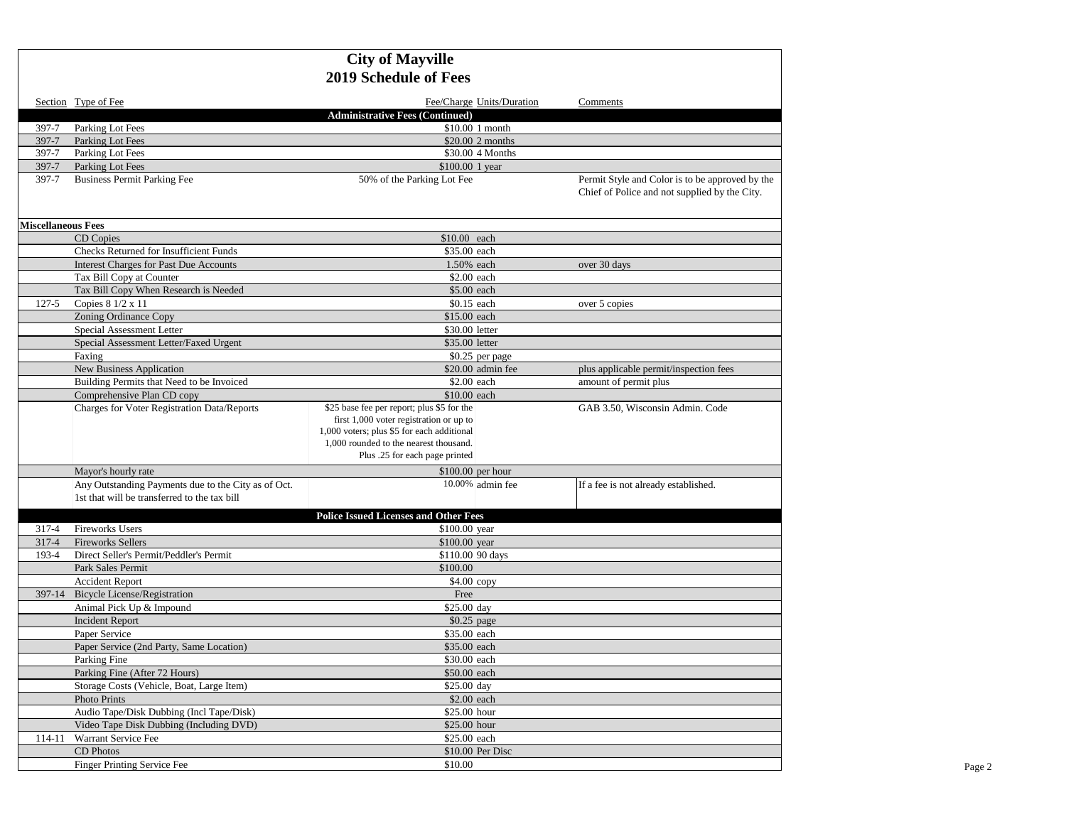|                           | Section Type of Fee                                                                                 | Fee/Charge Units/Duration                                                                                                                                                                                       | Comments                                                                                         |
|---------------------------|-----------------------------------------------------------------------------------------------------|-----------------------------------------------------------------------------------------------------------------------------------------------------------------------------------------------------------------|--------------------------------------------------------------------------------------------------|
|                           |                                                                                                     | <b>Administrative Fees (Continued)</b>                                                                                                                                                                          |                                                                                                  |
| 397-7                     | Parking Lot Fees                                                                                    | \$10.00 1 month                                                                                                                                                                                                 |                                                                                                  |
| 397-7                     | Parking Lot Fees                                                                                    | \$20.00 2 months                                                                                                                                                                                                |                                                                                                  |
| 397-7<br>397-7            | Parking Lot Fees<br>Parking Lot Fees                                                                | \$30.00 4 Months<br>\$100.00 1 year                                                                                                                                                                             |                                                                                                  |
| 397-7                     | <b>Business Permit Parking Fee</b>                                                                  | 50% of the Parking Lot Fee                                                                                                                                                                                      | Permit Style and Color is to be approved by the<br>Chief of Police and not supplied by the City. |
| <b>Miscellaneous Fees</b> |                                                                                                     |                                                                                                                                                                                                                 |                                                                                                  |
|                           | CD Copies                                                                                           | \$10.00 each                                                                                                                                                                                                    |                                                                                                  |
|                           | Checks Returned for Insufficient Funds                                                              | \$35.00 each                                                                                                                                                                                                    |                                                                                                  |
|                           | <b>Interest Charges for Past Due Accounts</b>                                                       | 1.50% each                                                                                                                                                                                                      | over 30 days                                                                                     |
|                           | Tax Bill Copy at Counter                                                                            | \$2.00 each                                                                                                                                                                                                     |                                                                                                  |
|                           | Tax Bill Copy When Research is Needed                                                               | \$5.00 each                                                                                                                                                                                                     |                                                                                                  |
| $127 - 5$                 | Copies 8 1/2 x 11                                                                                   | \$0.15 each                                                                                                                                                                                                     | over 5 copies                                                                                    |
|                           | Zoning Ordinance Copy                                                                               | \$15.00 each                                                                                                                                                                                                    |                                                                                                  |
|                           | Special Assessment Letter                                                                           | \$30.00 letter                                                                                                                                                                                                  |                                                                                                  |
|                           | Special Assessment Letter/Faxed Urgent                                                              | \$35.00 letter                                                                                                                                                                                                  |                                                                                                  |
|                           | Faxing                                                                                              | \$0.25 per page                                                                                                                                                                                                 |                                                                                                  |
|                           | New Business Application                                                                            | \$20.00 admin fee                                                                                                                                                                                               | plus applicable permit/inspection fees                                                           |
|                           | Building Permits that Need to be Invoiced                                                           | \$2.00 each                                                                                                                                                                                                     | amount of permit plus                                                                            |
|                           | Comprehensive Plan CD copy                                                                          | \$10.00 each                                                                                                                                                                                                    |                                                                                                  |
|                           | Charges for Voter Registration Data/Reports                                                         | \$25 base fee per report; plus \$5 for the<br>first 1,000 voter registration or up to<br>1,000 voters; plus \$5 for each additional<br>1,000 rounded to the nearest thousand.<br>Plus .25 for each page printed | GAB 3.50, Wisconsin Admin. Code                                                                  |
|                           | Mayor's hourly rate                                                                                 | $$100.00$ per hour                                                                                                                                                                                              |                                                                                                  |
|                           | Any Outstanding Payments due to the City as of Oct.<br>1st that will be transferred to the tax bill | 10.00% admin fee                                                                                                                                                                                                | If a fee is not already established.                                                             |
|                           |                                                                                                     | <b>Police Issued Licenses and Other Fees</b>                                                                                                                                                                    |                                                                                                  |
| 317-4                     | <b>Fireworks Users</b>                                                                              | \$100.00 year                                                                                                                                                                                                   |                                                                                                  |
| 317-4                     | <b>Fireworks Sellers</b>                                                                            | \$100.00 year                                                                                                                                                                                                   |                                                                                                  |
| 193-4                     | Direct Seller's Permit/Peddler's Permit                                                             | \$110.00 90 days                                                                                                                                                                                                |                                                                                                  |
|                           | Park Sales Permit                                                                                   | \$100.00                                                                                                                                                                                                        |                                                                                                  |
|                           | <b>Accident Report</b>                                                                              | $$4.00$ copy                                                                                                                                                                                                    |                                                                                                  |
| 397-14                    | <b>Bicycle License/Registration</b>                                                                 | Free                                                                                                                                                                                                            |                                                                                                  |
|                           | Animal Pick Up & Impound                                                                            | \$25.00 day                                                                                                                                                                                                     |                                                                                                  |
|                           | <b>Incident Report</b>                                                                              | \$0.25 page                                                                                                                                                                                                     |                                                                                                  |
|                           | Paper Service                                                                                       | \$35.00 each                                                                                                                                                                                                    |                                                                                                  |
|                           | Paper Service (2nd Party, Same Location)                                                            | \$35.00 each                                                                                                                                                                                                    |                                                                                                  |
|                           | Parking Fine                                                                                        | \$30.00 each                                                                                                                                                                                                    |                                                                                                  |
|                           | Parking Fine (After 72 Hours)                                                                       | \$50.00 each                                                                                                                                                                                                    |                                                                                                  |
|                           | Storage Costs (Vehicle, Boat, Large Item)                                                           | \$25.00 day                                                                                                                                                                                                     |                                                                                                  |
|                           | <b>Photo Prints</b>                                                                                 | \$2.00 each                                                                                                                                                                                                     |                                                                                                  |
|                           | Audio Tape/Disk Dubbing (Incl Tape/Disk)                                                            | \$25.00 hour                                                                                                                                                                                                    |                                                                                                  |
|                           | Video Tape Disk Dubbing (Including DVD)                                                             | \$25.00 hour                                                                                                                                                                                                    |                                                                                                  |
| 114-11                    | Warrant Service Fee                                                                                 | \$25.00 each                                                                                                                                                                                                    |                                                                                                  |
|                           | CD Photos                                                                                           | \$10.00 Per Disc                                                                                                                                                                                                |                                                                                                  |
|                           | <b>Finger Printing Service Fee</b>                                                                  | \$10.00                                                                                                                                                                                                         |                                                                                                  |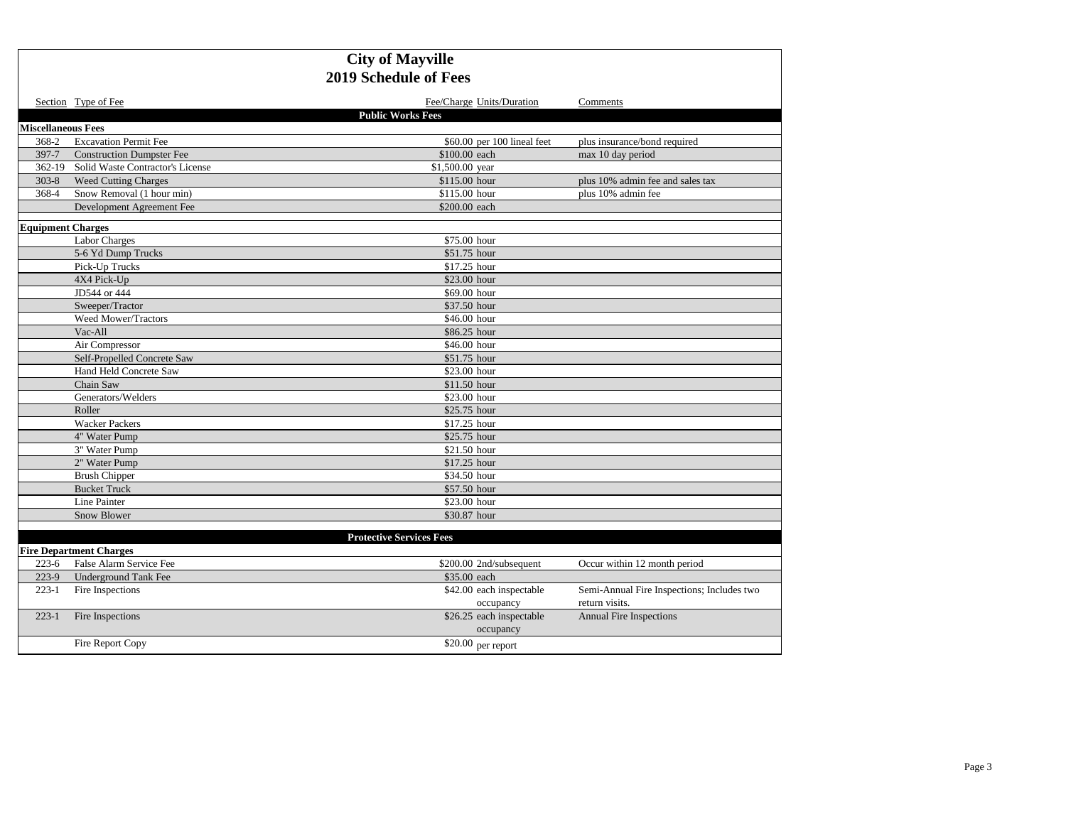|                           | Section Type of Fee                     | Fee/Charge Units/Duration             | Comments                                                     |
|---------------------------|-----------------------------------------|---------------------------------------|--------------------------------------------------------------|
|                           |                                         | <b>Public Works Fees</b>              |                                                              |
| <b>Miscellaneous Fees</b> |                                         |                                       |                                                              |
| 368-2                     | <b>Excavation Permit Fee</b>            | \$60.00 per 100 lineal feet           | plus insurance/bond required                                 |
| 397-7                     | <b>Construction Dumpster Fee</b>        | \$100.00 each                         | max 10 day period                                            |
|                           | 362-19 Solid Waste Contractor's License | \$1,500.00 year                       |                                                              |
| $303 - 8$                 | <b>Weed Cutting Charges</b>             | \$115.00 hour                         | plus 10% admin fee and sales tax                             |
| 368-4                     | Snow Removal (1 hour min)               | \$115.00 hour                         | plus 10% admin fee                                           |
|                           | Development Agreement Fee               | \$200.00 each                         |                                                              |
| <b>Equipment Charges</b>  |                                         |                                       |                                                              |
|                           | <b>Labor Charges</b>                    | \$75.00 hour                          |                                                              |
|                           | 5-6 Yd Dump Trucks                      | \$51.75 hour                          |                                                              |
|                           | Pick-Up Trucks                          | \$17.25 hour                          |                                                              |
|                           | 4X4 Pick-Up                             | \$23.00 hour                          |                                                              |
|                           | JD544 or 444                            | \$69.00 hour                          |                                                              |
|                           | Sweeper/Tractor                         | \$37.50 hour                          |                                                              |
|                           | Weed Mower/Tractors                     | \$46.00 hour                          |                                                              |
|                           | Vac-All                                 | \$86.25 hour                          |                                                              |
|                           | Air Compressor                          | \$46.00 hour                          |                                                              |
|                           | Self-Propelled Concrete Saw             | \$51.75 hour                          |                                                              |
|                           | Hand Held Concrete Saw                  | \$23.00 hour                          |                                                              |
|                           | Chain Saw                               | \$11.50 hour                          |                                                              |
|                           | Generators/Welders                      | \$23.00 hour                          |                                                              |
|                           | Roller                                  | \$25.75 hour                          |                                                              |
|                           | <b>Wacker Packers</b>                   | \$17.25 hour                          |                                                              |
|                           | 4" Water Pump                           | \$25.75 hour                          |                                                              |
|                           | 3" Water Pump                           | \$21.50 hour                          |                                                              |
|                           | 2" Water Pump                           | \$17.25 hour                          |                                                              |
|                           | <b>Brush Chipper</b>                    | \$34.50 hour                          |                                                              |
|                           | <b>Bucket Truck</b>                     | \$57.50 hour                          |                                                              |
|                           | Line Painter                            | \$23.00 hour                          |                                                              |
|                           | Snow Blower                             | \$30.87 hour                          |                                                              |
|                           |                                         |                                       |                                                              |
|                           |                                         | <b>Protective Services Fees</b>       |                                                              |
|                           | <b>Fire Department Charges</b>          |                                       |                                                              |
| $223-6$                   | False Alarm Service Fee                 | \$200.00 2nd/subsequent               | Occur within 12 month period                                 |
| 223-9                     | <b>Underground Tank Fee</b>             | \$35.00 each                          |                                                              |
| $223-1$                   | Fire Inspections                        | \$42.00 each inspectable<br>occupancy | Semi-Annual Fire Inspections; Includes two<br>return visits. |
| $223-1$                   | Fire Inspections                        | \$26.25 each inspectable              | <b>Annual Fire Inspections</b>                               |
|                           |                                         | occupancy                             |                                                              |
|                           | Fire Report Copy                        | $$20.00$ per report                   |                                                              |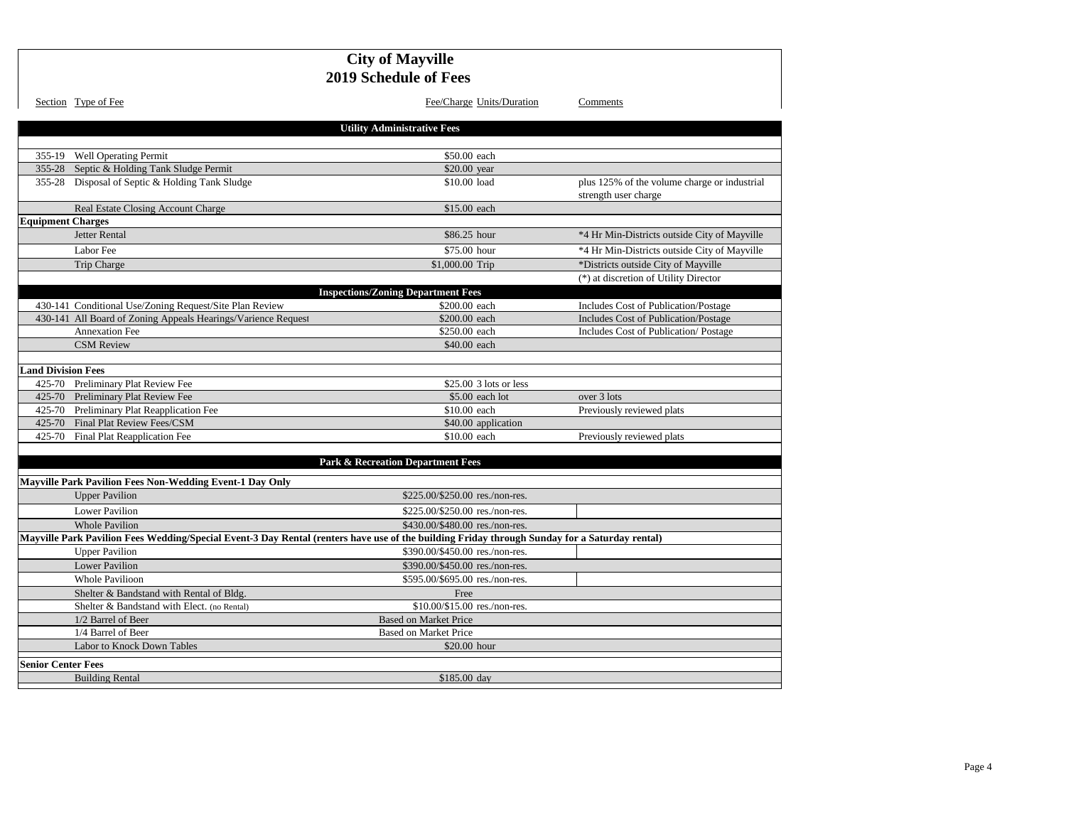|                           |                                                                                                                                               | <b>City of Mayville</b><br><b>2019 Schedule of Fees</b> |                                                                      |
|---------------------------|-----------------------------------------------------------------------------------------------------------------------------------------------|---------------------------------------------------------|----------------------------------------------------------------------|
|                           | Section Type of Fee                                                                                                                           | Fee/Charge Units/Duration                               | Comments                                                             |
|                           |                                                                                                                                               | <b>Utility Administrative Fees</b>                      |                                                                      |
|                           | 355-19 Well Operating Permit                                                                                                                  | \$50.00 each                                            |                                                                      |
|                           | 355-28 Septic & Holding Tank Sludge Permit                                                                                                    | \$20.00 year                                            |                                                                      |
|                           | 355-28 Disposal of Septic & Holding Tank Sludge                                                                                               | \$10.00 load                                            | plus 125% of the volume charge or industrial<br>strength user charge |
|                           | Real Estate Closing Account Charge                                                                                                            | \$15.00 each                                            |                                                                      |
| <b>Equipment Charges</b>  |                                                                                                                                               |                                                         |                                                                      |
|                           | <b>Jetter Rental</b>                                                                                                                          | \$86.25 hour                                            | *4 Hr Min-Districts outside City of Mayville                         |
|                           | Labor Fee                                                                                                                                     | \$75.00 hour                                            | *4 Hr Min-Districts outside City of Mayville                         |
|                           | Trip Charge                                                                                                                                   | \$1,000.00 Trip                                         | *Districts outside City of Mayville                                  |
|                           |                                                                                                                                               |                                                         | (*) at discretion of Utility Director                                |
|                           |                                                                                                                                               | <b>Inspections/Zoning Department Fees</b>               |                                                                      |
|                           | 430-141 Conditional Use/Zoning Request/Site Plan Review                                                                                       | \$200.00 each                                           | Includes Cost of Publication/Postage                                 |
|                           | 430-141 All Board of Zoning Appeals Hearings/Varience Request                                                                                 | \$200.00 each                                           | Includes Cost of Publication/Postage                                 |
|                           | <b>Annexation Fee</b>                                                                                                                         | \$250.00 each                                           | Includes Cost of Publication/Postage                                 |
|                           | <b>CSM Review</b>                                                                                                                             | \$40,00 each                                            |                                                                      |
|                           |                                                                                                                                               |                                                         |                                                                      |
| <b>Land Division Fees</b> |                                                                                                                                               |                                                         |                                                                      |
|                           | 425-70 Preliminary Plat Review Fee                                                                                                            | $$25.00$ 3 lots or less                                 |                                                                      |
|                           | 425-70 Preliminary Plat Review Fee                                                                                                            | $$5.00$ each lot                                        | over 3 lots                                                          |
|                           | 425-70 Preliminary Plat Reapplication Fee                                                                                                     | \$10.00 each                                            | Previously reviewed plats                                            |
|                           | 425-70 Final Plat Review Fees/CSM                                                                                                             | \$40.00 application                                     |                                                                      |
|                           | 425-70 Final Plat Reapplication Fee                                                                                                           | \$10.00 each                                            | Previously reviewed plats                                            |
|                           |                                                                                                                                               |                                                         |                                                                      |
|                           |                                                                                                                                               | <b>Park &amp; Recreation Department Fees</b>            |                                                                      |
|                           | <b>Mayville Park Pavilion Fees Non-Wedding Event-1 Day Only</b>                                                                               |                                                         |                                                                      |
|                           | <b>Upper Pavilion</b>                                                                                                                         | \$225,00/\$250.00 res./non-res.                         |                                                                      |
|                           | <b>Lower Pavilion</b>                                                                                                                         | \$225.00/\$250.00 res./non-res.                         |                                                                      |
|                           | <b>Whole Pavilion</b>                                                                                                                         | \$430.00/\$480.00 res./non-res.                         |                                                                      |
|                           | Mayville Park Pavilion Fees Wedding/Special Event-3 Day Rental (renters have use of the building Friday through Sunday for a Saturday rental) |                                                         |                                                                      |
|                           | <b>Upper Pavilion</b>                                                                                                                         | \$390.00/\$450.00 res./non-res.                         |                                                                      |
|                           | <b>Lower Pavilion</b>                                                                                                                         | \$390.00/\$450.00 res./non-res.                         |                                                                      |
|                           | <b>Whole Pavilioon</b>                                                                                                                        | \$595.00/\$695.00 res./non-res.                         |                                                                      |
|                           | Shelter & Bandstand with Rental of Bldg.                                                                                                      | Free                                                    |                                                                      |
|                           | Shelter & Bandstand with Elect. (no Rental)                                                                                                   | \$10.00/\$15.00 res./non-res.                           |                                                                      |
|                           | 1/2 Barrel of Beer                                                                                                                            | <b>Based on Market Price</b>                            |                                                                      |
|                           | 1/4 Barrel of Beer                                                                                                                            | <b>Based on Market Price</b>                            |                                                                      |
|                           | Labor to Knock Down Tables                                                                                                                    | \$20.00 hour                                            |                                                                      |
|                           |                                                                                                                                               |                                                         |                                                                      |
| <b>Senior Center Fees</b> |                                                                                                                                               |                                                         |                                                                      |
|                           | <b>Building Rental</b>                                                                                                                        | \$185.00 day                                            |                                                                      |